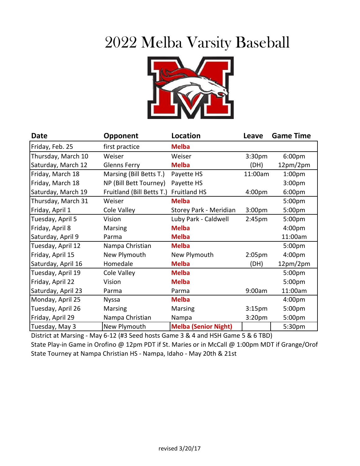## 2022 Melba Varsity Baseball



| Date               | <b>Opponent</b>           | Location                    | Leave              | <b>Game Time</b>   |
|--------------------|---------------------------|-----------------------------|--------------------|--------------------|
| Friday, Feb. 25    | first practice            | <b>Melba</b>                |                    |                    |
| Thursday, March 10 | Weiser                    | Weiser                      | 3:30 <sub>pm</sub> | 6:00pm             |
| Saturday, March 12 | <b>Glenns Ferry</b>       | <b>Melba</b>                | (DH)               | 12pm/2pm           |
| Friday, March 18   | Marsing (Bill Betts T.)   | Payette HS                  | 11:00am            | 1:00 <sub>pm</sub> |
| Friday, March 18   | NP (Bill Bett Tourney)    | Payette HS                  |                    | 3:00pm             |
| Saturday, March 19 | Fruitland (Bill Betts T.) | Fruitland HS                | 4:00pm             | 6:00pm             |
| Thursday, March 31 | Weiser                    | <b>Melba</b>                |                    | 5:00pm             |
| Friday, April 1    | Cole Valley               | Storey Park - Meridian      | 3:00 <sub>pm</sub> | 5:00pm             |
| Tuesday, April 5   | Vision                    | Luby Park - Caldwell        | 2:45pm             | 5:00pm             |
| Friday, April 8    | Marsing                   | <b>Melba</b>                |                    | 4:00 <sub>pm</sub> |
| Saturday, April 9  | Parma                     | <b>Melba</b>                |                    | 11:00am            |
| Tuesday, April 12  | Nampa Christian           | <b>Melba</b>                |                    | 5:00 <sub>pm</sub> |
| Friday, April 15   | New Plymouth              | New Plymouth                | 2:05 <sub>pm</sub> | 4:00pm             |
| Saturday, April 16 | Homedale                  | <b>Melba</b>                | (DH)               | 12pm/2pm           |
| Tuesday, April 19  | Cole Valley               | <b>Melba</b>                |                    | 5:00 <sub>pm</sub> |
| Friday, April 22   | Vision                    | <b>Melba</b>                |                    | 5:00pm             |
| Saturday, April 23 | Parma                     | Parma                       | 9:00am             | 11:00am            |
| Monday, April 25   | <b>Nyssa</b>              | <b>Melba</b>                |                    | 4:00 <sub>pm</sub> |
| Tuesday, April 26  | <b>Marsing</b>            | <b>Marsing</b>              | 3:15 <sub>pm</sub> | 5:00pm             |
| Friday, April 29   | Nampa Christian           | Nampa                       | 3:20 <sub>pm</sub> | 5:00pm             |
| Tuesday, May 3     | New Plymouth              | <b>Melba (Senior Night)</b> |                    | 5:30pm             |

District at Marsing - May 6-12 (#3 Seed hosts Game 3 & 4 and HSH Game 5 & 6 TBD) State Play-in Game in Orofino @ 12pm PDT if St. Maries or in McCall @ 1:00pm MDT if Grange/Orof State Tourney at Nampa Christian HS - Nampa, Idaho - May 20th & 21st